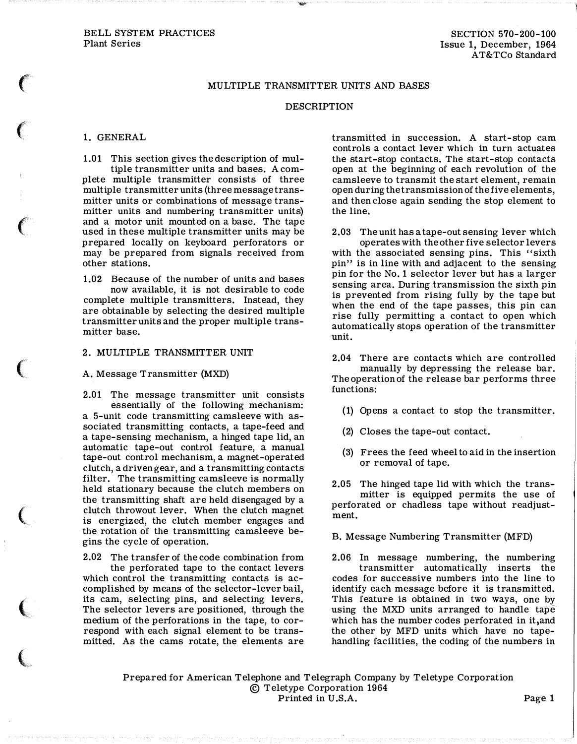## MULTIPLE TRANSMITTER UNITS AND BASES

**Allow** 

#### DESCRIPTION

## 1. GENERAL

 $\epsilon$ 

 $\big($ 

 $\big($ 

 $\big($ 

 $\big($ 

 $\big($ 

 $\big($ 

1.01 This section gives the description of multiple transmitter units and bases. A complete multiple transmitter consists of three multiple transmitter units (three message transmitter units or combinations of message transmitter units and numbering transmitter units) and a motor unit mounted on a base. The tape used in these multiple transmitter units may be prepared locally on keyboard perforators or may be prepared from signals received from other stations.

1.02 Because of the number of units and bases now available, it is not desirable to code complete multiple transmitters. Instead, they are obtainable by selecting the desired multiple transmitter units and the proper multiple transmitter base.

# 2. MULTIPLE TRANSMITTER UNIT

### A. Message Transmitter (MXD)

2.01 The message transmitter unit consists essentially of the following mechanism: a 5-unit code transmitting camsleeve with associated transmitting contacts, a tape-feed and a tape-sensing mechanism, a hinged tape lid, an automatic tape-out control feature, a manual tape-out control mechanism, a magnet-operated clutch, a driven gear, and a transmitting contacts filter. The transmitting camsleeve is normally held stationary because the clutch members on the transmitting shaft are held disengaged by a clutch throwout lever. When the clutch magnet is energized, the clutch member engages and the rotation of the transmitting camsleeve begins the cycle of operation.

2.02 The transfer of the code combination from the perforated tape to the contact levers which control the transmitting contacts is accomplished by means of the selector-lever bail, its cam, selecting pins, and selecting levers. The selector levers are positioned, through the medium of the perforations in the tape, to correspond with each signal element to be transmitted. As the cams rotate, the elements are

transmitted in succession. A start-stop cam controls a contact lever which in turn actuates the start-stop contacts. The start-stop contacts open at the beginning of each revolution of the camsleeve to transmit the start element, remain open during the transmission of the five elements, and then close again sending the stop element to the line.

2.03 The unit has a tape-out sensing lever which operates with the other five selector levers with the associated sensing pins. This "sixth pin" is in line with and adjacent to the sensing pin for the No. 1 selector lever but has a larger sensing area. During transmission the sixth pin is prevented from rising fully by the tape but when the end of the tape passes, this pin can rise fully permitting a contact to open which automatically stops operation of the transmitter unit.

2.04 There are contacts which are controlled manually by depressing the release bar. The operation of the release bar performs three functions:

- (1) Opens a contact to stop the transmitter.
- (2) Closes the tape-out contact.
- (3) Frees the feed wheel to aid in the insertion or removal of tape.

2.05 The hinged tape lid with which the transmitter is equipped permits the use of perforated or chadless tape without readjustment.

B. Message Numbering Transmitter (MFD)

2.06 In message numbering, the numbering transmitter automatically inserts the codes for successive numbers into the line to identify each message before it is transmitted. This feature is obtained in two ways, one by using the MXD units arranged to handle tape which has the number codes perforated in it,and the other by MFD units which have no tapehandling facilities, the coding of the numbers in

Prepared for American Telephone and Telegraph Company by Teletype Corporation © Teletype Corporation 1964 Printed in U.S.A. Page 1